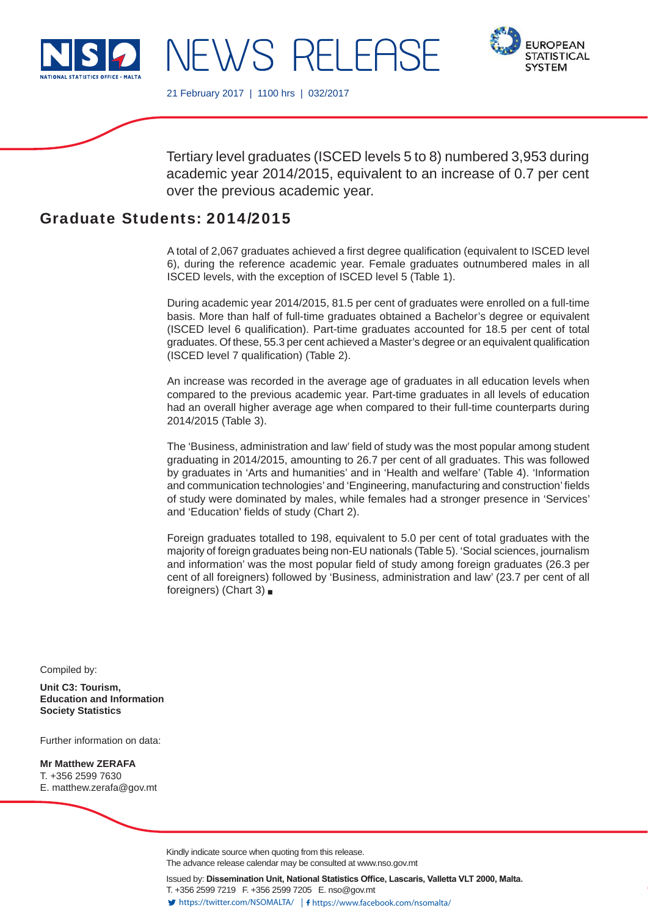

NEWS RELEF



21 February 2017 | 1100 hrs | 032/2017

Tertiary level graduates (ISCED levels 5 to 8) numbered 3,953 during academic year 2014/2015, equivalent to an increase of 0.7 per cent over the previous academic year.

# Graduate Students: 2014/2015

A total of 2,067 graduates achieved a first degree qualification (equivalent to ISCED level 6), during the reference academic year. Female graduates outnumbered males in all ISCED levels, with the exception of ISCED level 5 (Table 1).

During academic year 2014/2015, 81.5 per cent of graduates were enrolled on a full-time basis. More than half of full-time graduates obtained a Bachelor's degree or equivalent (ISCED level 6 qualification). Part-time graduates accounted for 18.5 per cent of total graduates. Of these, 55.3 per cent achieved a Master's degree or an equivalent qualification (ISCED level 7 qualification) (Table 2).

An increase was recorded in the average age of graduates in all education levels when compared to the previous academic year. Part-time graduates in all levels of education had an overall higher average age when compared to their full-time counterparts during 2014/2015 (Table 3).

The 'Business, administration and law' field of study was the most popular among student graduating in 2014/2015, amounting to 26.7 per cent of all graduates. This was followed by graduates in 'Arts and humanities' and in 'Health and welfare' (Table 4). 'Information and communication technologies' and 'Engineering, manufacturing and construction' fields of study were dominated by males, while females had a stronger presence in 'Services' and 'Education' fields of study (Chart 2).

Foreign graduates totalled to 198, equivalent to 5.0 per cent of total graduates with the majority of foreign graduates being non-EU nationals (Table 5). 'Social sciences, journalism and information' was the most popular field of study among foreign graduates (26.3 per cent of all foreigners) followed by 'Business, administration and law' (23.7 per cent of all foreigners) (Chart 3)

Compiled by:

**Unit C3: Tourism, Education and Information Society Statistics**

Further information on data:

**Mr Matthew ZERAFA** T. +356 2599 7630 E. matthew.zerafa@gov.mt

> Kindly indicate source when quoting from this release. The advance release calendar may be consulted at www.nso.gov.mt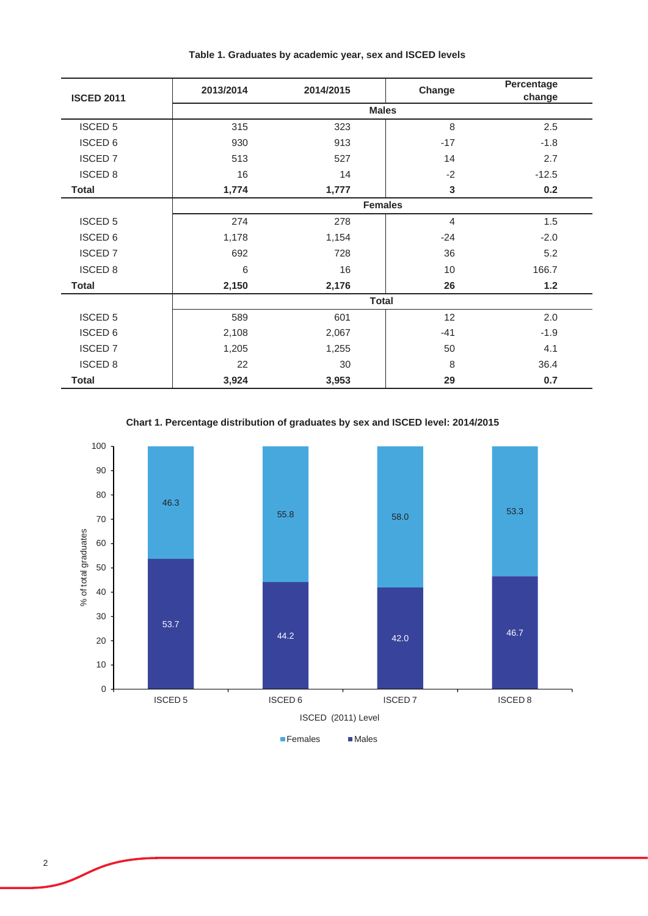| <b>ISCED 2011</b> | 2013/2014    | 2014/2015 | Change         | Percentage<br>change |
|-------------------|--------------|-----------|----------------|----------------------|
|                   |              |           | <b>Males</b>   |                      |
| <b>ISCED 5</b>    | 315          | 323       | 8              | 2.5                  |
| <b>ISCED 6</b>    | 930          | 913       | $-17$          | $-1.8$               |
| <b>ISCED7</b>     | 513          | 527       | 14             | 2.7                  |
| <b>ISCED 8</b>    | 16           | 14        | $-2$           | $-12.5$              |
| <b>Total</b>      | 1,774        | 1,777     | 3              | 0.2                  |
|                   |              |           | <b>Females</b> |                      |
| <b>ISCED 5</b>    | 274          | 278       | $\overline{4}$ | 1.5                  |
| <b>ISCED 6</b>    | 1,178        | 1,154     | $-24$          | $-2.0$               |
| <b>ISCED7</b>     | 692          | 728       | 36             | 5.2                  |
| <b>ISCED 8</b>    | 6            | 16        | 10             | 166.7                |
| <b>Total</b>      | 2,150        | 2,176     | 26             | $1.2$                |
|                   | <b>Total</b> |           |                |                      |
| <b>ISCED 5</b>    | 589          | 601       | 12             | 2.0                  |
| <b>ISCED 6</b>    | 2,108        | 2,067     | $-41$          | $-1.9$               |
| <b>ISCED 7</b>    | 1,205        | 1,255     | 50             | 4.1                  |
| <b>ISCED 8</b>    | 22           | 30        | 8              | 36.4                 |
| <b>Total</b>      | 3,924        | 3,953     | 29             | 0.7                  |

**Chart 1. Percentage distribution of graduates by sex and ISCED level: 2014/2015**

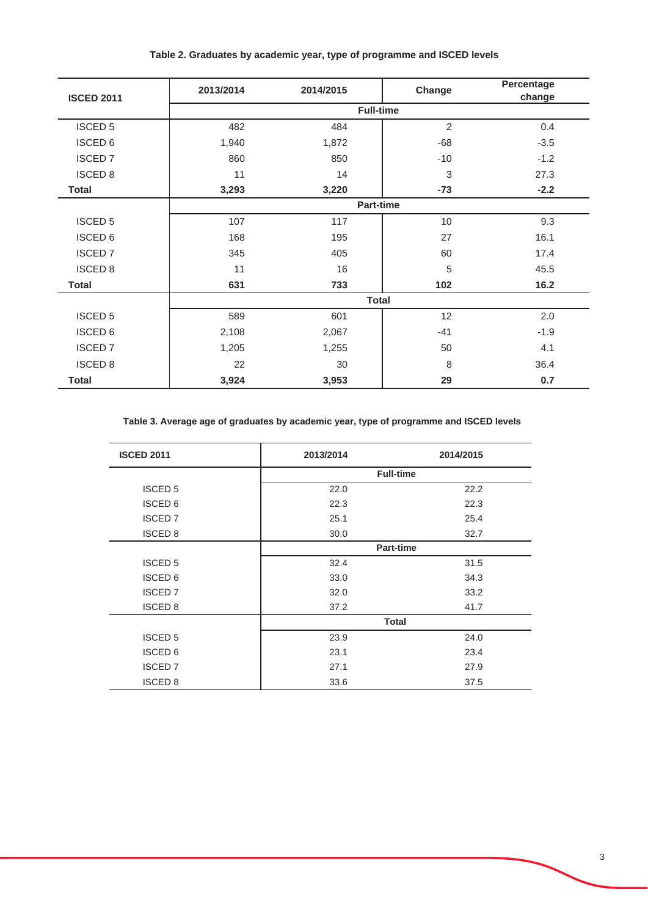| Table 2. Graduates by academic year, type of programme and ISCED levels |  |  |
|-------------------------------------------------------------------------|--|--|
|-------------------------------------------------------------------------|--|--|

| <b>ISCED 2011</b> | 2013/2014    | 2014/2015 | Change           | Percentage<br>change |
|-------------------|--------------|-----------|------------------|----------------------|
|                   |              |           | <b>Full-time</b> |                      |
| <b>ISCED 5</b>    | 482          | 484       | $\overline{2}$   | 0.4                  |
| <b>ISCED 6</b>    | 1,940        | 1,872     | $-68$            | $-3.5$               |
| <b>ISCED 7</b>    | 860          | 850       | $-10$            | $-1.2$               |
| <b>ISCED 8</b>    | 11           | 14        | 3                | 27.3                 |
| <b>Total</b>      | 3,293        | 3,220     | $-73$            | $-2.2$               |
|                   |              |           | <b>Part-time</b> |                      |
| <b>ISCED 5</b>    | 107          | 117       | 10               | 9.3                  |
| <b>ISCED 6</b>    | 168          | 195       | 27               | 16.1                 |
| <b>ISCED 7</b>    | 345          | 405       | 60               | 17.4                 |
| <b>ISCED 8</b>    | 11           | 16        | 5                | 45.5                 |
| <b>Total</b>      | 631          | 733       | 102              | 16.2                 |
|                   | <b>Total</b> |           |                  |                      |
| <b>ISCED 5</b>    | 589          | 601       | 12               | 2.0                  |
| <b>ISCED 6</b>    | 2,108        | 2,067     | $-41$            | $-1.9$               |
| <b>ISCED 7</b>    | 1,205        | 1,255     | 50               | 4.1                  |
| <b>ISCED 8</b>    | 22           | 30        | 8                | 36.4                 |
| <b>Total</b>      | 3,924        | 3,953     | 29               | 0.7                  |

**Table 3. Average age of graduates by academic year, type of programme and ISCED levels**

| <b>ISCED 2011</b> | 2013/2014 | 2014/2015        |
|-------------------|-----------|------------------|
|                   |           | <b>Full-time</b> |
| <b>ISCED 5</b>    | 22.0      | 22.2             |
| <b>ISCED 6</b>    | 22.3      | 22.3             |
| <b>ISCED 7</b>    | 25.1      | 25.4             |
| <b>ISCED 8</b>    | 30.0      | 32.7             |
|                   |           | Part-time        |
| <b>ISCED 5</b>    | 32.4      | 31.5             |
| <b>ISCED 6</b>    | 33.0      | 34.3             |
| <b>ISCED 7</b>    | 32.0      | 33.2             |
| <b>ISCED 8</b>    | 37.2      | 41.7             |
|                   |           | <b>Total</b>     |
| <b>ISCED 5</b>    | 23.9      | 24.0             |
| <b>ISCED 6</b>    | 23.1      | 23.4             |
| <b>ISCED 7</b>    | 27.1      | 27.9             |
| <b>ISCED 8</b>    | 33.6      | 37.5             |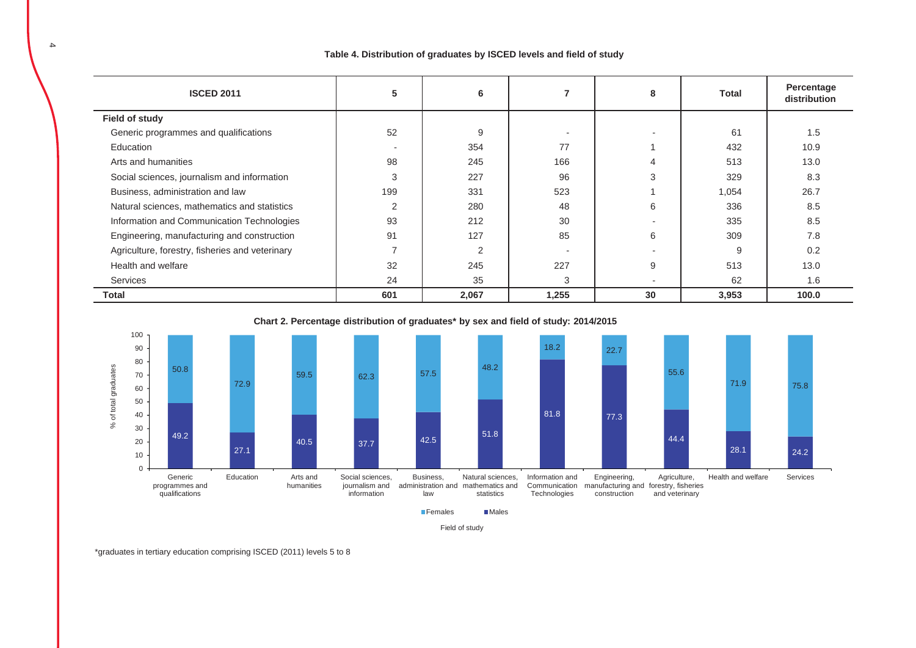## **Table 4. Distribution of graduates by ISCED levels and field of study**

| <b>ISCED 2011</b>                               | 5              | 6              |       | 8                        | Total | Percentage<br>distribution |
|-------------------------------------------------|----------------|----------------|-------|--------------------------|-------|----------------------------|
| Field of study                                  |                |                |       |                          |       |                            |
| Generic programmes and qualifications           | 52             | 9              |       |                          | 61    | 1.5                        |
| Education                                       |                | 354            | 77    |                          | 432   | 10.9                       |
| Arts and humanities                             | 98             | 245            | 166   | 4                        | 513   | 13.0                       |
| Social sciences, journalism and information     | 3              | 227            | 96    | 3                        | 329   | 8.3                        |
| Business, administration and law                | 199            | 331            | 523   |                          | 1,054 | 26.7                       |
| Natural sciences, mathematics and statistics    | 2              | 280            | 48    | 6                        | 336   | 8.5                        |
| Information and Communication Technologies      | 93             | 212            | 30    | $\overline{\phantom{a}}$ | 335   | 8.5                        |
| Engineering, manufacturing and construction     | 91             | 127            | 85    | 6                        | 309   | 7.8                        |
| Agriculture, forestry, fisheries and veterinary | $\overline{ }$ | $\overline{2}$ |       |                          | 9     | 0.2                        |
| Health and welfare                              | 32             | 245            | 227   | 9                        | 513   | 13.0                       |
| Services                                        | 24             | 35             | 3     |                          | 62    | 1.6                        |
| Total                                           | 601            | 2,067          | 1,255 | 30                       | 3,953 | 100.0                      |

**Chart 2. Percentage distribution of graduates\* by sex and field of study: 2014/2015**



Field of study

\*graduates in tertiary education comprising ISCED (2011) levels 5 to 8

j.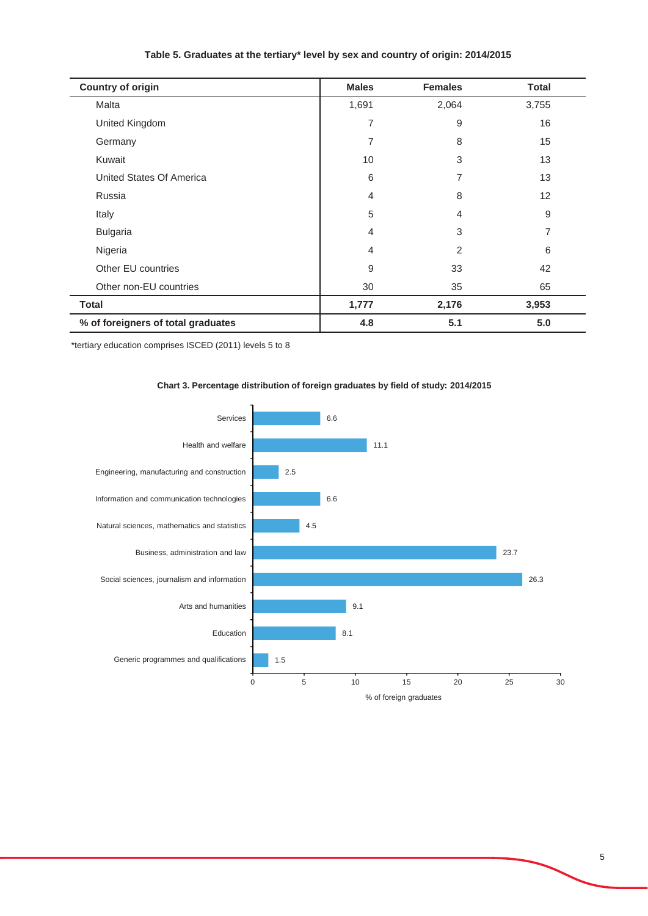# **Table 5. Graduates at the tertiary\* level by sex and country of origin: 2014/2015**

| <b>Country of origin</b>           | <b>Males</b>   | <b>Females</b> | <b>Total</b> |
|------------------------------------|----------------|----------------|--------------|
| Malta                              | 1,691          | 2,064          | 3,755        |
| United Kingdom                     | 7              | 9              | 16           |
| Germany                            | 7              | 8              | 15           |
| Kuwait                             | 10             | 3              | 13           |
| United States Of America           | 6              | 7              | 13           |
| Russia                             | $\overline{4}$ | 8              | 12           |
| Italy                              | 5              | 4              | 9            |
| <b>Bulgaria</b>                    | 4              | 3              | 7            |
| Nigeria                            | 4              | $\overline{2}$ | 6            |
| Other EU countries                 | 9              | 33             | 42           |
| Other non-EU countries             | 30             | 35             | 65           |
| <b>Total</b>                       | 1,777          | 2,176          | 3,953        |
| % of foreigners of total graduates | 4.8            | 5.1            | 5.0          |

\*tertiary education comprises ISCED (2011) levels 5 to 8